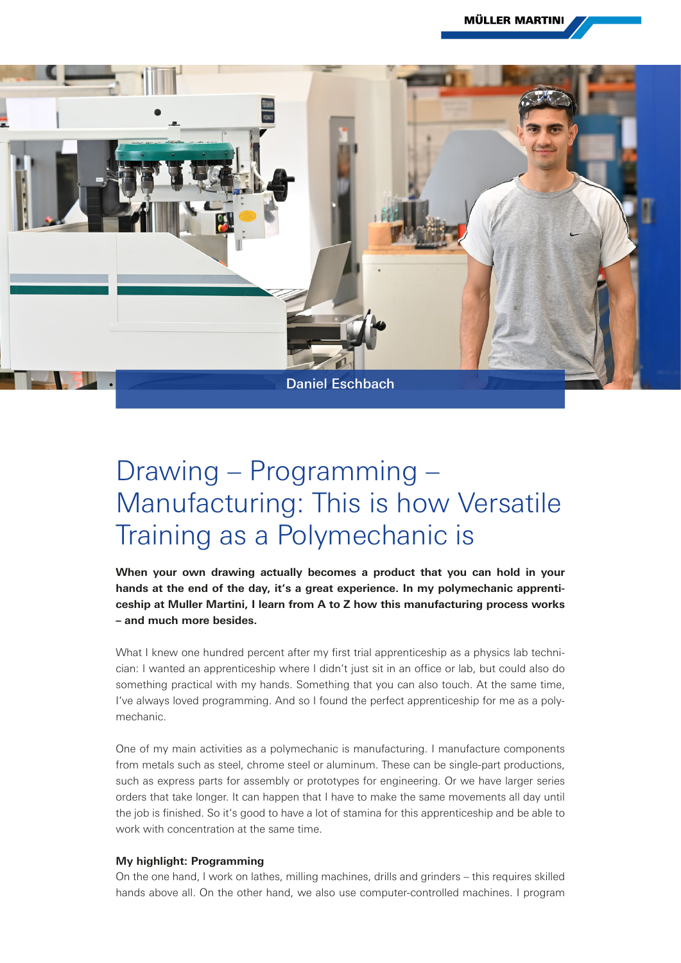

# Drawing – Programming – Manufacturing: This is how Versatile Training as a Polymechanic is

**When your own drawing actually becomes a product that you can hold in your hands at the end of the day, it's a great experience. In my polymechanic apprenticeship at Muller Martini, I learn from A to Z how this manufacturing process works – and much more besides.**

What I knew one hundred percent after my first trial apprenticeship as a physics lab technician: I wanted an apprenticeship where I didn't just sit in an office or lab, but could also do something practical with my hands. Something that you can also touch. At the same time, I've always loved programming. And so I found the perfect apprenticeship for me as a polymechanic.

One of my main activities as a polymechanic is manufacturing. I manufacture components from metals such as steel, chrome steel or aluminum. These can be single-part productions, such as express parts for assembly or prototypes for engineering. Or we have larger series orders that take longer. It can happen that I have to make the same movements all day until the job is finished. So it's good to have a lot of stamina for this apprenticeship and be able to work with concentration at the same time.

#### **My highlight: Programming**

On the one hand, I work on lathes, milling machines, drills and grinders – this requires skilled hands above all. On the other hand, we also use computer-controlled machines. I program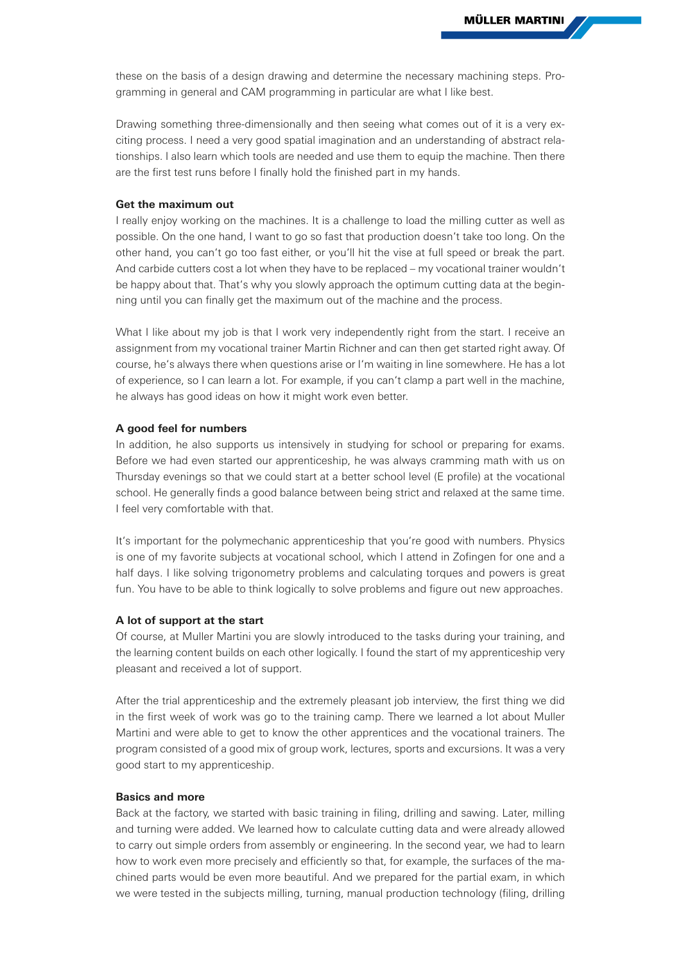these on the basis of a design drawing and determine the necessary machining steps. Programming in general and CAM programming in particular are what I like best.

Drawing something three-dimensionally and then seeing what comes out of it is a very exciting process. I need a very good spatial imagination and an understanding of abstract relationships. I also learn which tools are needed and use them to equip the machine. Then there are the first test runs before I finally hold the finished part in my hands.

#### **Get the maximum out**

I really enjoy working on the machines. It is a challenge to load the milling cutter as well as possible. On the one hand, I want to go so fast that production doesn't take too long. On the other hand, you can't go too fast either, or you'll hit the vise at full speed or break the part. And carbide cutters cost a lot when they have to be replaced – my vocational trainer wouldn't be happy about that. That's why you slowly approach the optimum cutting data at the beginning until you can finally get the maximum out of the machine and the process.

What I like about my job is that I work very independently right from the start. I receive an assignment from my vocational trainer Martin Richner and can then get started right away. Of course, he's always there when questions arise or I'm waiting in line somewhere. He has a lot of experience, so I can learn a lot. For example, if you can't clamp a part well in the machine, he always has good ideas on how it might work even better.

#### **A good feel for numbers**

In addition, he also supports us intensively in studying for school or preparing for exams. Before we had even started our apprenticeship, he was always cramming math with us on Thursday evenings so that we could start at a better school level (E profile) at the vocational school. He generally finds a good balance between being strict and relaxed at the same time. I feel very comfortable with that.

It's important for the polymechanic apprenticeship that you're good with numbers. Physics is one of my favorite subjects at vocational school, which I attend in Zofingen for one and a half days. I like solving trigonometry problems and calculating torques and powers is great fun. You have to be able to think logically to solve problems and figure out new approaches.

### **A lot of support at the start**

Of course, at Muller Martini you are slowly introduced to the tasks during your training, and the learning content builds on each other logically. I found the start of my apprenticeship very pleasant and received a lot of support.

After the trial apprenticeship and the extremely pleasant job interview, the first thing we did in the first week of work was go to the training camp. There we learned a lot about Muller Martini and were able to get to know the other apprentices and the vocational trainers. The program consisted of a good mix of group work, lectures, sports and excursions. It was a very good start to my apprenticeship.

## **Basics and more**

Back at the factory, we started with basic training in filing, drilling and sawing. Later, milling and turning were added. We learned how to calculate cutting data and were already allowed to carry out simple orders from assembly or engineering. In the second year, we had to learn how to work even more precisely and efficiently so that, for example, the surfaces of the machined parts would be even more beautiful. And we prepared for the partial exam, in which we were tested in the subjects milling, turning, manual production technology (filing, drilling